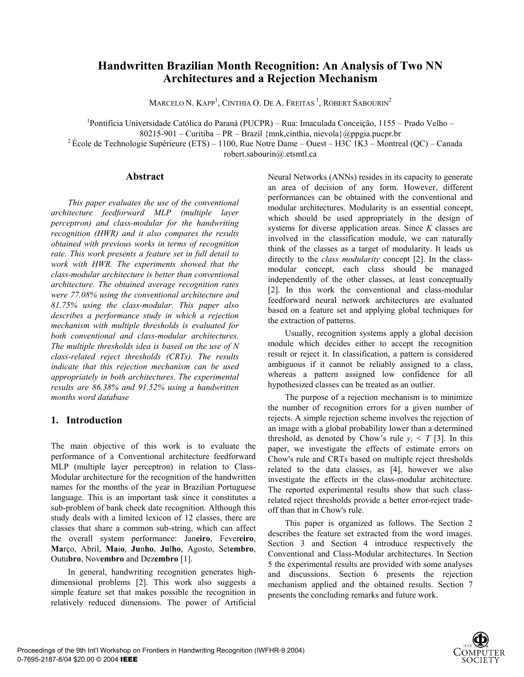# **Handwritten Brazilian Month Recognition: An Analysis of Two NN Architectures and a Rejection Mechanism**

MARCELO N. KAPP<sup>1</sup>, CINTHIA O. DE A. FREITAS <sup>1</sup>, ROBERT SABOURIN<sup>2</sup>

<sup>1</sup>Pontifícia Universidade Católica do Paraná (PUCPR) – Rua: Imaculada Conceição, 1155 – Prado Velho –

80215-901 – Curitiba – PR – Brazil {mnk,cinthia, nievola}@ppgia.pucpr.br

<sup>2</sup> École de Technologie Supérieure (ETS) – 1100, Rue Notre Dame – Ouest – H3C 1K3 – Montreal (QC) – Canada

robert.sabourin@.etsmtl.ca

### **Abstract**

*This paper evaluates the use of the conventional architecture feedforward MLP (multiple layer perceptron) and class-modular for the handwriting recognition (HWR) and it also compares the results obtained with previous works in terms of recognition rate. This work presents a feature set in full detail to work with HWR. The experiments showed that the class-modular architecture is better than conventional architecture. The obtained average recognition rates were 77.08% using the conventional architecture and 81.75% using the class-modular. This paper also describes a performance study in which a rejection mechanism with multiple thresholds is evaluated for both conventional and class-modular architectures. The multiple thresholds idea is based on the use of N class-related reject thresholds (CRTs). The results indicate that this rejection mechanism can be used appropriately in both architectures. The experimental results are 86.38% and 91.52% using a handwritten months word database* 

## **1. Introduction**

The main objective of this work is to evaluate the performance of a Conventional architecture feedforward MLP (multiple layer perceptron) in relation to Class-Modular architecture for the recognition of the handwritten names for the months of the year in Brazilian Portuguese language. This is an important task since it constitutes a sub-problem of bank check date recognition. Although this study deals with a limited lexicon of 12 classes, there are classes that share a common sub-string, which can affect the overall system performance: Jan**eiro**, Fever**eiro**, **Ma**rço, Abril, **Ma**i**o**, **Ju**n**ho**, **Ju**l**ho**, Agosto, Set**embro**, Outu**bro**, Nov**embro** and Dez**embro** [1].

In general, handwriting recognition generates highdimensional problems [2]. This work also suggests a simple feature set that makes possible the recognition in relatively reduced dimensions. The power of Artificial

Neural Networks (ANNs) resides in its capacity to generate an area of decision of any form. However, different performances can be obtained with the conventional and modular architectures. Modularity is an essential concept, which should be used appropriately in the design of systems for diverse application areas. Since *K* classes are involved in the classification module, we can naturally think of the classes as a target of modularity. It leads us directly to the *class modularity* concept [2]. In the classmodular concept, each class should be managed independently of the other classes, at least conceptually [2]. In this work the conventional and class-modular feedforward neural network architectures are evaluated based on a feature set and applying global techniques for the extraction of patterns.

Usually, recognition systems apply a global decision module which decides either to accept the recognition result or reject it. In classification, a pattern is considered ambiguous if it cannot be reliably assigned to a class, whereas a pattern assigned low confidence for all hypothesized classes can be treated as an outlier.

The purpose of a rejection mechanism is to minimize the number of recognition errors for a given number of rejects. A simple rejection scheme involves the rejection of an image with a global probability lower than a determined threshold, as denoted by Chow's rule  $v_i \leq T$  [3]. In this paper, we investigate the effects of estimate errors on Chow's rule and CRTs based on multiple reject thresholds related to the data classes, as [4], however we also investigate the effects in the class-modular architecture. The reported experimental results show that such classrelated reject thresholds provide a better error-reject tradeoff than that in Chow's rule.

This paper is organized as follows. The Section 2 describes the feature set extracted from the word images. Section 3 and Section 4 introduce respectively the Conventional and Class-Modular architectures. In Section 5 the experimental results are provided with some analyses and discussions. Section 6 presents the rejection mechanism applied and the obtained results. Section 7 presents the concluding remarks and future work.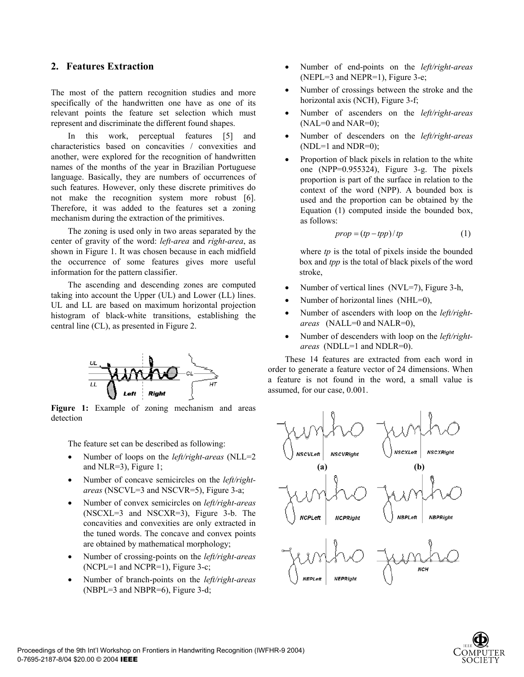## **2. Features Extraction**

The most of the pattern recognition studies and more specifically of the handwritten one have as one of its relevant points the feature set selection which must represent and discriminate the different found shapes.

In this work, perceptual features [5] and characteristics based on concavities / convexities and another, were explored for the recognition of handwritten names of the months of the year in Brazilian Portuguese language. Basically, they are numbers of occurrences of such features. However, only these discrete primitives do not make the recognition system more robust [6]. Therefore, it was added to the features set a zoning mechanism during the extraction of the primitives.

The zoning is used only in two areas separated by the center of gravity of the word: *left-area* and *right-area*, as shown in Figure 1. It was chosen because in each midfield the occurrence of some features gives more useful information for the pattern classifier.

The ascending and descending zones are computed taking into account the Upper (UL) and Lower (LL) lines. UL and LL are based on maximum horizontal projection histogram of black-white transitions, establishing the central line (CL), as presented in Figure 2.



**Figure 1:** Example of zoning mechanism and areas detection

The feature set can be described as following:

- Number of loops on the *left/right-areas* (NLL=2) and NLR=3), Figure 1;
- Number of concave semicircles on the *left/rightareas* (NSCVL=3 and NSCVR=5), Figure 3-a;
- Number of convex semicircles on *left/right-areas* (NSCXL=3 and NSCXR=3), Figure 3-b. The concavities and convexities are only extracted in the tuned words. The concave and convex points are obtained by mathematical morphology;
- Number of crossing-points on the *left/right-areas* (NCPL=1 and NCPR=1), Figure 3-c;
- Number of branch-points on the *left/right-areas* (NBPL=3 and NBPR=6), Figure 3-d;
- Number of end-points on the *left/right-areas* (NEPL=3 and NEPR=1), Figure 3-e;
- Number of crossings between the stroke and the horizontal axis (NCH), Figure 3-f;
- Number of ascenders on the *left/right-areas*  $(NAL=0$  and  $NAR=0)$ ;
- Number of descenders on the *left/right-areas*  $(NDL=1$  and  $NDR=0$ );
- Proportion of black pixels in relation to the white one (NPP=0.955324), Figure 3-g. The pixels proportion is part of the surface in relation to the context of the word (NPP). A bounded box is used and the proportion can be obtained by the Equation (1) computed inside the bounded box, as follows:

$$
prop = (tp - tp) / tp
$$
 (1)

 where *tp* is the total of pixels inside the bounded box and *tpp* is the total of black pixels of the word stroke,

- Number of vertical lines (NVL=7), Figure 3-h,
- Number of horizontal lines (NHL=0),
- Number of ascenders with loop on the *left/rightareas* (NALL=0 and NALR=0),
- Number of descenders with loop on the *left/rightareas* (NDLL=1 and NDLR=0).

These 14 features are extracted from each word in order to generate a feature vector of 24 dimensions. When a feature is not found in the word, a small value is assumed, for our case, 0.001.



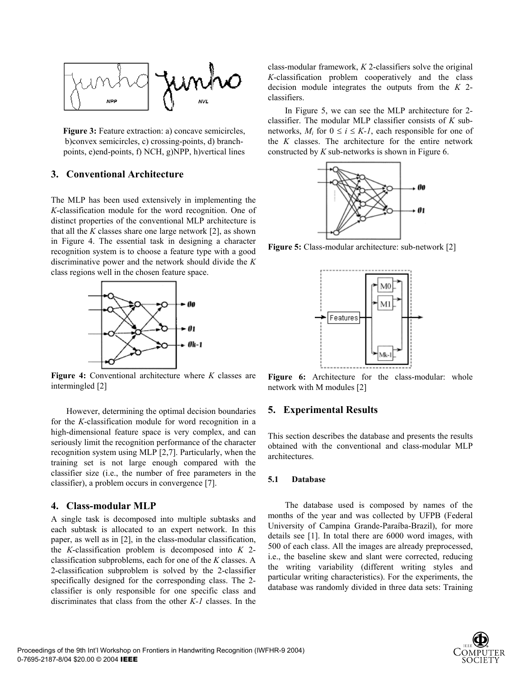

**Figure 3:** Feature extraction: a) concave semicircles, b)convex semicircles, c) crossing-points, d) branchpoints, e)end-points, f) NCH, g)NPP, h)vertical lines

## **3. Conventional Architecture**

The MLP has been used extensively in implementing the *K*-classification module for the word recognition. One of distinct properties of the conventional MLP architecture is that all the *K* classes share one large network [2], as shown in Figure 4. The essential task in designing a character recognition system is to choose a feature type with a good discriminative power and the network should divide the *K* class regions well in the chosen feature space.



**Figure 4:** Conventional architecture where *K* classes are intermingled [2]

However, determining the optimal decision boundaries for the *K*-classification module for word recognition in a high-dimensional feature space is very complex, and can seriously limit the recognition performance of the character recognition system using MLP [2,7]. Particularly, when the training set is not large enough compared with the classifier size (i.e., the number of free parameters in the classifier), a problem occurs in convergence [7].

#### **4. Class-modular MLP**

A single task is decomposed into multiple subtasks and each subtask is allocated to an expert network. In this paper, as well as in [2], in the class-modular classification, the *K*-classification problem is decomposed into *K* 2 classification subproblems, each for one of the *K* classes. A 2-classification subproblem is solved by the 2-classifier specifically designed for the corresponding class. The 2 classifier is only responsible for one specific class and discriminates that class from the other *K-1* classes. In the

class-modular framework, *K* 2-classifiers solve the original *K*-classification problem cooperatively and the class decision module integrates the outputs from the *K* 2 classifiers.

In Figure 5, we can see the MLP architecture for 2 classifier. The modular MLP classifier consists of *K* subnetworks,  $M_i$  for  $0 \le i \le K-1$ , each responsible for one of the *K* classes. The architecture for the entire network constructed by *K* sub-networks is shown in Figure 6.



**Figure 5:** Class-modular architecture: sub-network [2]



Figure 6: Architecture for the class-modular: whole network with M modules [2]

### **5. Experimental Results**

This section describes the database and presents the results obtained with the conventional and class-modular MLP architectures.

### **5.1 Database**

The database used is composed by names of the months of the year and was collected by UFPB (Federal University of Campina Grande-Paraíba-Brazil), for more details see [1]. In total there are 6000 word images, with 500 of each class. All the images are already preprocessed, i.e., the baseline skew and slant were corrected, reducing the writing variability (different writing styles and particular writing characteristics). For the experiments, the database was randomly divided in three data sets: Training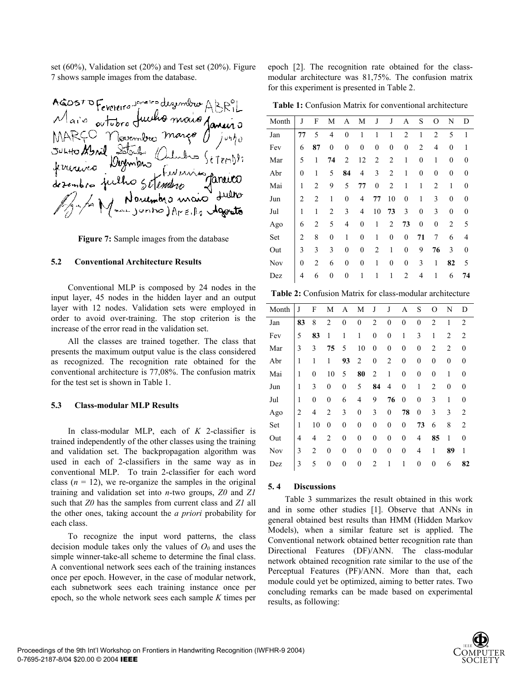set (60%), Validation set (20%) and Test set (20%). Figure 7 shows sample images from the database.

AGOSTO Fevereiro Jameiro desembro ABRIL<br>MARCO Novembro Margo Jameiro<br>MARCO Novembro Margo Jusho<br>Justo Montmons Cultures Setendro<br>fevereiro Dombro Cultures Setendro<br>desembro fulho Setendro Janeiro<br>Montmons maio Justo

**Figure 7:** Sample images from the database

#### **5.2 Conventional Architecture Results**

Conventional MLP is composed by 24 nodes in the input layer, 45 nodes in the hidden layer and an output layer with 12 nodes. Validation sets were employed in order to avoid over-training. The stop criterion is the increase of the error read in the validation set.

All the classes are trained together. The class that presents the maximum output value is the class considered as recognized. The recognition rate obtained for the conventional architecture is 77,08%. The confusion matrix for the test set is shown in Table 1.

#### **5.3 Class-modular MLP Results**

In class-modular MLP, each of *K* 2-classifier is trained independently of the other classes using the training and validation set. The backpropagation algorithm was used in each of 2-classifiers in the same way as in conventional MLP. To train 2-classifier for each word class  $(n = 12)$ , we re-organize the samples in the original training and validation set into *n*-two groups, *Z0* and *Z1* such that *Z0* has the samples from current class and *Z1* all the other ones, taking account the *a priori* probability for each class.

To recognize the input word patterns, the class decision module takes only the values of  $O_0$  and uses the simple winner-take-all scheme to determine the final class. A conventional network sees each of the training instances once per epoch. However, in the case of modular network, each subnetwork sees each training instance once per epoch, so the whole network sees each sample *K* times per

epoch [2]. The recognition rate obtained for the classmodular architecture was 81,75%. The confusion matrix for this experiment is presented in Table 2.

**Table 1:** Confusion Matrix for conventional architecture

| Month | J                | F              | М                | A                | M                | J                | J                | А                | S                | O              | N                | D                |
|-------|------------------|----------------|------------------|------------------|------------------|------------------|------------------|------------------|------------------|----------------|------------------|------------------|
| Jan   | 77               | 5              | 4                | $\theta$         | 1                | 1                | 1                | $\overline{2}$   | 1                | $\overline{2}$ | 5                | 1                |
| Fev   | 6                | 87             | $\boldsymbol{0}$ | $\mathbf{0}$     | $\boldsymbol{0}$ | $\boldsymbol{0}$ | $\boldsymbol{0}$ | 0                | 2                | 4              | $\boldsymbol{0}$ | 1                |
| Mar   | 5                | 1              | 74               | 2                | 12               | 2                | $\overline{c}$   | 1                | $\boldsymbol{0}$ | 1              | $\boldsymbol{0}$ | 0                |
| Abr   | $\boldsymbol{0}$ | 1              | 5                | 84               | 4                | 3                | $\overline{2}$   | 1                | $\boldsymbol{0}$ | $\theta$       | $\boldsymbol{0}$ | 0                |
| Mai   | 1                | 2              | 9                | 5                | 77               | $\boldsymbol{0}$ | $\overline{2}$   | 1                | 1                | $\overline{2}$ | 1                | 0                |
| Jun   | $\overline{2}$   | $\overline{2}$ | 1                | $\theta$         | 4                | 77               | 10               | $\mathbf{0}$     | 1                | 3              | $\boldsymbol{0}$ | 0                |
| Jul   | 1                | 1              | $\overline{2}$   | 3                | $\overline{4}$   | 10               | 73               | 3                | $\theta$         | 3              | $\mathbf{0}$     | $\theta$         |
| Ago   | 6                | 2              | 5                | $\overline{4}$   | $\mathbf{0}$     | 1                | $\overline{c}$   | 73               | $\boldsymbol{0}$ | $\mathbf{0}$   | $\overline{2}$   | 5                |
| Set   | $\overline{c}$   | 8              | $\mathbf{0}$     | $\mathbf{1}$     | $\overline{0}$   | 1                | $\mathbf{0}$     | $\mathbf{0}$     | 71               | 7              | 6                | 4                |
| Out   | 3                | 3              | 3                | $\boldsymbol{0}$ | 0                | 2                | 1                | $\boldsymbol{0}$ | 9                | 76             | 3                | $\boldsymbol{0}$ |
| Nov   | 0                | 2              | 6                | $\boldsymbol{0}$ | $\boldsymbol{0}$ | 1                | 0                | $\boldsymbol{0}$ | 3                | 1              | 82               | 5                |
| Dez   | 4                | 6              | 0                | 0                | 1                | 1                | 1                | $\overline{c}$   | 4                | 1              | 6                | 74               |

**Table 2:** Confusion Matrix for class-modular architecture

| Month | J  | F              | М                | A                | M                | J              | J              | A                | S                | O                | N                | D              |
|-------|----|----------------|------------------|------------------|------------------|----------------|----------------|------------------|------------------|------------------|------------------|----------------|
| Jan   | 83 | 8              | $\overline{2}$   | $\overline{0}$   | $\mathbf{0}$     | $\overline{2}$ | $\theta$       | $\theta$         | $\overline{0}$   | $\overline{2}$   | 1                | $\overline{2}$ |
| Fev   | 5  | 83             | 1                | 1                | 1                | $\mathbf{0}$   | $\mathbf{0}$   | 1                | 3                | 1                | $\overline{2}$   | $\overline{2}$ |
| Mar   | 3  | 3              | 75               | 5                | 10               | $\mathbf{0}$   | $\mathbf{0}$   | $\theta$         | $\mathbf{0}$     | 2                | 2                | $\Omega$       |
| Abr   | 1  | 1              | $\mathbf{1}$     | 93               | 2                | $\overline{0}$ | $\overline{2}$ | $\mathbf{0}$     | $\overline{0}$   | $\overline{0}$   | $\boldsymbol{0}$ | $\theta$       |
| Mai   | 1  | $\overline{0}$ | 10               | 5                | 80               | 2              | 1              | $\mathbf{0}$     | $\boldsymbol{0}$ | $\boldsymbol{0}$ | 1                | $\theta$       |
| Jun   | 1  | 3              | $\boldsymbol{0}$ | $\overline{0}$   | 5                | 84             | 4              | $\mathbf{0}$     | 1                | $\overline{2}$   | $\boldsymbol{0}$ | $\theta$       |
| Jul   | 1  | $\mathbf{0}$   | $\boldsymbol{0}$ | 6                | 4                | 9              | 76             | $\boldsymbol{0}$ | $\mathbf{0}$     | 3                | 1                | $\theta$       |
| Ago   | 2  | 4              | $\overline{2}$   | 3                | $\boldsymbol{0}$ | 3              | $\mathbf{0}$   | 78               | $\mathbf{0}$     | 3                | 3                | 2              |
| Set   | 1  | 10             | $\overline{0}$   | $\boldsymbol{0}$ | $\overline{0}$   | $\overline{0}$ | $\mathbf{0}$   | $\mathbf{0}$     | 73               | 6                | 8                | 2              |
| Out   | 4  | 4              | $\overline{2}$   | $\mathbf{0}$     | $\theta$         | $\mathbf{0}$   | $\mathbf{0}$   | $\theta$         | 4                | 85               | 1                | $\Omega$       |
| Nov   | 3  | $\overline{2}$ | $\overline{0}$   | $\overline{0}$   | $\theta$         | $\overline{0}$ | $\mathbf{0}$   | $\mathbf{0}$     | 4                | 1                | 89               | 1              |
| Dez   | 3  | 5              | $\boldsymbol{0}$ | $\mathbf{0}$     | $\overline{0}$   | 2              | 1              | 1                | $\overline{0}$   | $\overline{0}$   | 6                | 82             |

#### **5. 4 Discussions**

Table 3 summarizes the result obtained in this work and in some other studies [1]. Observe that ANNs in general obtained best results than HMM (Hidden Markov Models), when a similar feature set is applied. The Conventional network obtained better recognition rate than Directional Features (DF)/ANN. The class-modular network obtained recognition rate similar to the use of the Perceptual Features (PF)/ANN. More than that, each module could yet be optimized, aiming to better rates. Two concluding remarks can be made based on experimental results, as following:

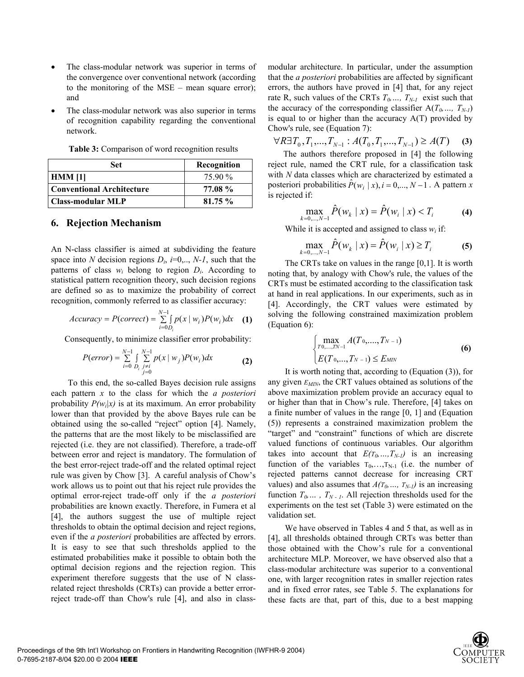- The class-modular network was superior in terms of the convergence over conventional network (according to the monitoring of the MSE – mean square error); and
- The class-modular network was also superior in terms of recognition capability regarding the conventional network.

| Set                       | Recognition |
|---------------------------|-------------|
| <b>HMM</b> [1]            | 75.90 %     |
| Conventional Architecture | 77.08 %     |
| Class-modular MLP         | 81.75%      |

**Table 3:** Comparison of word recognition results

### **6. Rejection Mechanism**

An N-class classifier is aimed at subdividing the feature space into *N* decision regions  $D_i$ ,  $i=0, \ldots, N-1$ , such that the patterns of class  $w_i$  belong to region  $D_i$ . According to statistical pattern recognition theory, such decision regions are defined so as to maximize the probability of correct recognition, commonly referred to as classifier accuracy:

$$
Accuracy = P(correct) = \sum_{i=0}^{N-1} \int_{D_i} p(x \mid w_i) P(w_i) dx \quad (1)
$$

Consequently, to minimize classifier error probability:

$$
P(error) = \sum_{i=0}^{N-1} \int_{D_i} \sum_{\substack{j \neq i \\ j=0}}^{N-1} p(x \mid w_j) P(w_i) dx
$$
 (2)

To this end, the so-called Bayes decision rule assigns each pattern *x* to the class for which the *a posteriori* probability  $P(w_i|x)$  is at its maximum. An error probability lower than that provided by the above Bayes rule can be obtained using the so-called "reject" option [4]. Namely, the patterns that are the most likely to be misclassified are rejected (i.e. they are not classified). Therefore, a trade-off between error and reject is mandatory. The formulation of the best error-reject trade-off and the related optimal reject rule was given by Chow [3]. A careful analysis of Chow's work allows us to point out that his reject rule provides the optimal error-reject trade-off only if the *a posteriori* probabilities are known exactly. Therefore, in Fumera et al [4], the authors suggest the use of multiple reject thresholds to obtain the optimal decision and reject regions, even if the *a posteriori* probabilities are affected by errors. It is easy to see that such thresholds applied to the estimated probabilities make it possible to obtain both the optimal decision regions and the rejection region. This experiment therefore suggests that the use of N classrelated reject thresholds (CRTs) can provide a better errorreject trade-off than Chow's rule [4], and also in classmodular architecture. In particular, under the assumption that the *a posteriori* probabilities are affected by significant errors, the authors have proved in [4] that, for any reject rate R, such values of the CRTs  $T_0$ , ...,  $T_{N-1}$  exist such that the accuracy of the corresponding classifier  $A(T_0, ..., T_{N-1})$ is equal to or higher than the accuracy  $A(T)$  provided by Chow's rule, see (Equation 7):

 $\forall R \exists T_0, T_1,...,T_{N-1}$ :  $A(T_0, T_1,..., T_{N-1}) \ge A(T)$  (3)

The authors therefore proposed in [4] the following reject rule, named the CRT rule, for a classification task with *N* data classes which are characterized by estimated a posteriori probabilities  $\hat{P}(w_i | x), i = 0,...,N-1$ . A pattern *x* is rejected if:

$$
\max_{k=0,\dots,N-1} \hat{P}(w_k \mid x) = \hat{P}(w_i \mid x) < T_i \tag{4}
$$

While it is accepted and assigned to class  $w_i$  if:

$$
\max_{k=0,\dots,N-1} \hat{P}(w_k | x) = \hat{P}(w_i | x) \ge T_i
$$
 (5)

The CRTs take on values in the range [0,1]. It is worth noting that, by analogy with Chow's rule, the values of the CRTs must be estimated according to the classification task at hand in real applications. In our experiments, such as in [4]. Accordingly, the CRT values were estimated by solving the following constrained maximization problem (Equation 6):

$$
\begin{cases}\n\max_{T0,\dots,TN-1} A(T_0,\dots,T_{N-1}) \\
E(T_0,\dots,T_{N-1}) \le E_{MIN}\n\end{cases}
$$
\n(6)

It is worth noting that, according to (Equation (3)), for any given  $E_{MIN}$ , the CRT values obtained as solutions of the above maximization problem provide an accuracy equal to or higher than that in Chow's rule. Therefore, [4] takes on a finite number of values in the range [0, 1] and (Equation (5)) represents a constrained maximization problem the "target" and "constraint" functions of which are discrete valued functions of continuous variables. Our algorithm takes into account that  $E(T_0, ..., T_{N-1})$  is an increasing function of the variables  $T_0, \ldots, T_{N-1}$  (i.e. the number of rejected patterns cannot decrease for increasing CRT values) and also assumes that  $A(T_0, ..., T_{N-1})$  is an increasing function  $T_0$ ,  $T_{N-1}$ . All rejection thresholds used for the experiments on the test set (Table 3) were estimated on the validation set.

We have observed in Tables 4 and 5 that, as well as in [4], all thresholds obtained through CRTs was better than those obtained with the Chow's rule for a conventional architecture MLP. Moreover, we have observed also that a class-modular architecture was superior to a conventional one, with larger recognition rates in smaller rejection rates and in fixed error rates, see Table 5. The explanations for these facts are that, part of this, due to a best mapping